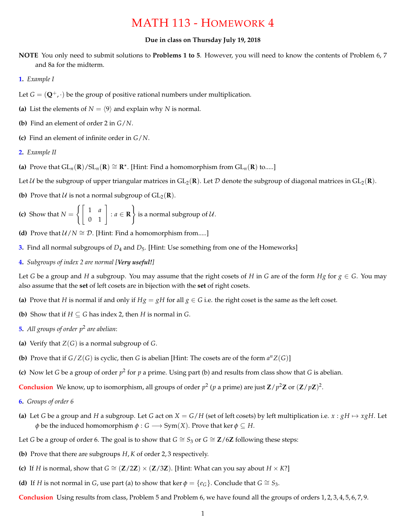## MATH 113 - HOMEWORK 4

## **Due in class on Thursday July 19, 2018**

- **NOTE** You only need to submit solutions to **Problems 1 to 5**. However, you will need to know the contents of Problem 6, 7 and 8a for the midterm.
- **1.** *Example I*
- Let  $G = (\mathbf{Q}^+, \cdot)$  be the group of positive rational numbers under multiplication.
- **(a)** List the elements of  $N = \langle 9 \rangle$  and explain why *N* is normal.
- **(b)** Find an element of order 2 in *G*/*N*.
- **(c)** Find an element of infinite order in *G*/*N*.
- **2.** *Example II*
- **(a)** Prove that  $GL_n(R)/SL_n(R) \cong R^*$ . [Hint: Find a homomorphism from  $GL_n(R)$  to.....]
- Let *U* be the subgroup of upper triangular matrices in  $GL_2(\mathbf{R})$ . Let *D* denote the subgroup of diagonal matrices in  $GL_2(\mathbf{R})$ .
- **(b)** Prove that *U* is not a normal subgroup of  $GL_2(\mathbf{R})$ .

(c) Show that 
$$
N = \left\{ \begin{bmatrix} 1 & a \\ 0 & 1 \end{bmatrix} : a \in \mathbf{R} \right\}
$$
 is a normal subgroup of U.

- **(d)** Prove that  $U/N \cong D$ . [Hint: Find a homomorphism from.....]
- **3.** Find all normal subgroups of  $D_4$  and  $D_5$ . [Hint: Use something from one of the Homeworks]
- **4.** *Subgroups of index 2 are normal [Very useful!]*

Let *G* be a group and *H* a subgroup. You may assume that the right cosets of *H* in *G* are of the form *Hg* for  $g \in G$ . You may also assume that the **set** of left cosets are in bijection with the **set** of right cosets.

- (a) Prove that *H* is normal if and only if  $Hg = gH$  for all  $g \in G$  i.e. the right coset is the same as the left coset.
- **(b)** Show that if  $H \subseteq G$  has index 2, then *H* is normal in *G*.
- **5.** *All groups of order p*<sup>2</sup> *are abelian*:
- (a) Verify that  $Z(G)$  is a normal subgroup of  $G$ .
- **(b)** Prove that if  $G/Z(G)$  is cyclic, then G is abelian [Hint: The cosets are of the form  $a^n Z(G)$ ]
- **(c)** Now let *G* be a group of order  $p^2$  for *p* a prime. Using part (b) and results from class show that *G* is abelian.

**Conclusion** We know, up to isomorphism, all groups of order  $p^2$  (*p* a prime) are just  $\mathbb{Z}/p^2\mathbb{Z}$  or  $(\mathbb{Z}/p\mathbb{Z})^2$ .

- **6.** *Groups of order 6*
- (a) Let *G* be a group and *H* a subgroup. Let *G* act on  $X = G/H$  (set of left cosets) by left multiplication i.e.  $x : gH \mapsto xgH$ . Let  $\phi$  be the induced homomorphism  $\phi$  : *G*  $\longrightarrow$  Sym(*X*). Prove that ker  $\phi \subseteq H$ .
- Let *G* be a group of order 6. The goal is to show that  $G \cong S_3$  or  $G \cong \mathbb{Z}/6\mathbb{Z}$  following these steps:
- **(b)** Prove that there are subgroups *H*, *K* of order 2, 3 respectively.
- **(c)** If *H* is normal, show that  $G \cong (\mathbb{Z}/2\mathbb{Z}) \times (\mathbb{Z}/3\mathbb{Z})$ . [Hint: What can you say about  $H \times K$ ?]
- **(d)** If *H* is not normal in *G*, use part (a) to show that ker  $\phi = \{e_G\}$ . Conclude that  $G \cong S_3$ .
- **Conclusion** Using results from class, Problem 5 and Problem 6, we have found all the groups of orders 1, 2, 3, 4, 5, 6, 7, 9.